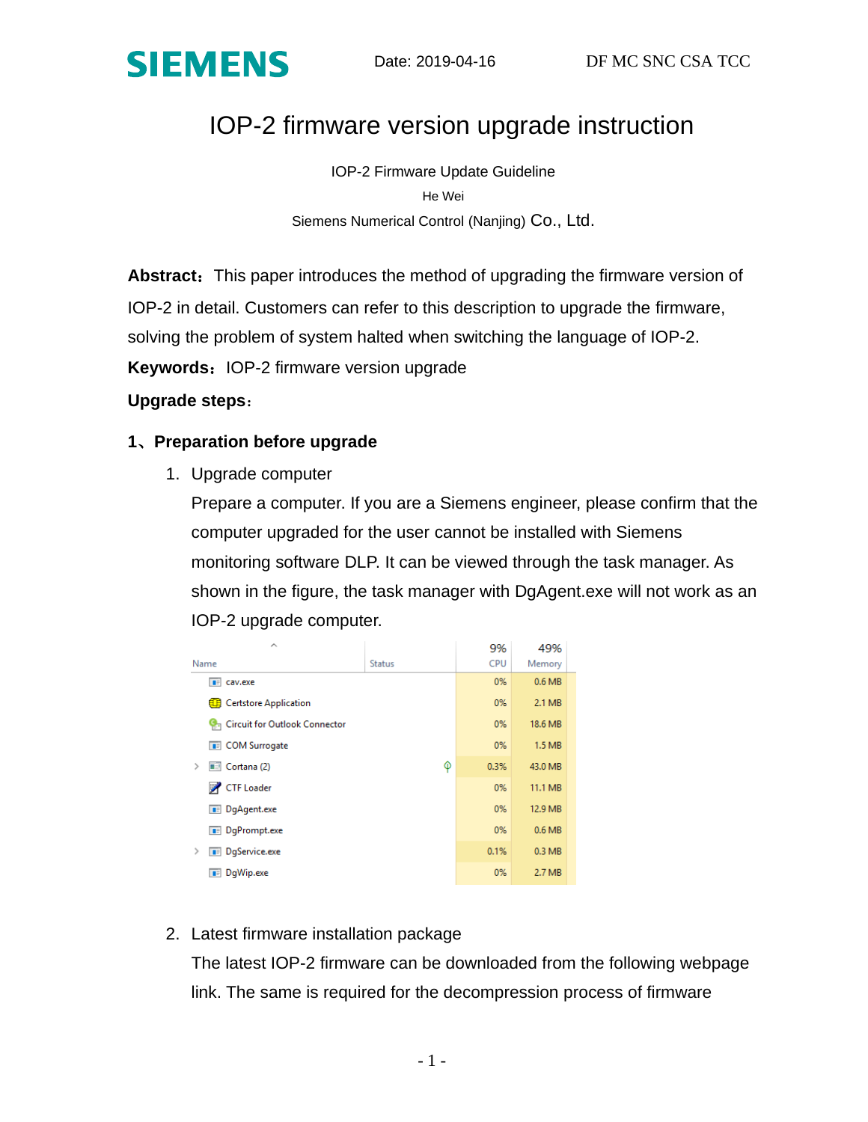

# IOP-2 firmware version upgrade instruction

IOP-2 Firmware Update Guideline He Wei Siemens Numerical Control (Nanjing) Co., Ltd.

**Abstract:** This paper introduces the method of upgrading the firmware version of IOP-2 in detail. Customers can refer to this description to upgrade the firmware, solving the problem of system halted when switching the language of IOP-2. **Keywords: IOP-2 firmware version upgrade** 

#### **Upgrade steps**:

### **1**、**Preparation before upgrade**

1. Upgrade computer

Prepare a computer. If you are a Siemens engineer, please confirm that the computer upgraded for the user cannot be installed with Siemens monitoring software DLP. It can be viewed through the task manager. As shown in the figure, the task manager with DgAgent.exe will not work as an IOP-2 upgrade computer.

| <b>Status</b> | <b>CPU</b> | Memory            |     |
|---------------|------------|-------------------|-----|
|               | 0%         | 0.6 <sub>MB</sub> |     |
|               | 0%         | 2.1 MB            |     |
|               | 0%         | 18.6 MB           |     |
|               | 0%         | 1.5 MB            |     |
| φ             | 0.3%       | 43.0 MB           |     |
|               | 0%         | 11.1 MB           |     |
|               | 0%         | 12.9 MB           |     |
|               | 0%         | 0.6 <sub>MB</sub> |     |
|               | 0.1%       | 0.3 MB            |     |
|               | 0%         | 2.7 MB            |     |
|               |            | 9%                | 49% |

#### 2. Latest firmware installation package

The latest IOP-2 firmware can be downloaded from the following webpage link. The same is required for the decompression process of firmware